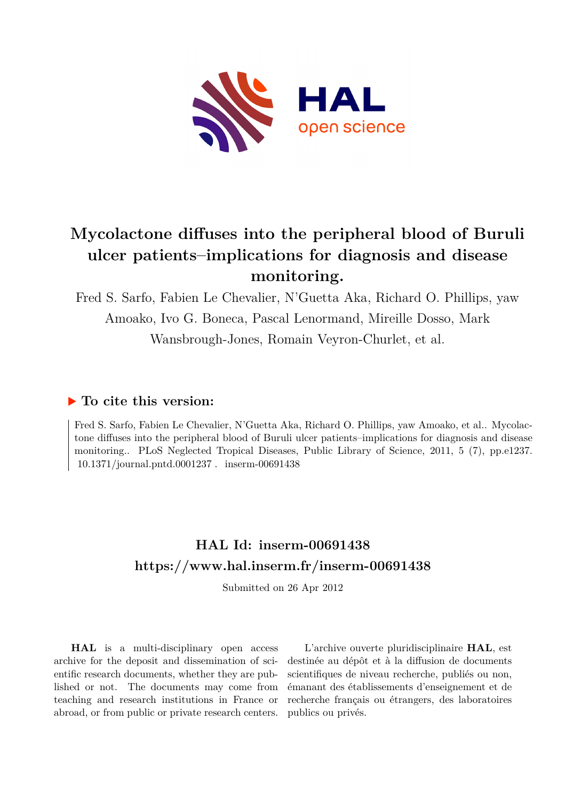

## **Mycolactone diffuses into the peripheral blood of Buruli ulcer patients–implications for diagnosis and disease monitoring.**

Fred S. Sarfo, Fabien Le Chevalier, N'Guetta Aka, Richard O. Phillips, yaw Amoako, Ivo G. Boneca, Pascal Lenormand, Mireille Dosso, Mark Wansbrough-Jones, Romain Veyron-Churlet, et al.

## **To cite this version:**

Fred S. Sarfo, Fabien Le Chevalier, N'Guetta Aka, Richard O. Phillips, yaw Amoako, et al.. Mycolactone diffuses into the peripheral blood of Buruli ulcer patients–implications for diagnosis and disease monitoring.. PLoS Neglected Tropical Diseases, Public Library of Science, 2011, 5 (7), pp.e1237.  $10.1371/journal.pntd.0001237$  . inserm-00691438

## **HAL Id: inserm-00691438 <https://www.hal.inserm.fr/inserm-00691438>**

Submitted on 26 Apr 2012

**HAL** is a multi-disciplinary open access archive for the deposit and dissemination of scientific research documents, whether they are published or not. The documents may come from teaching and research institutions in France or abroad, or from public or private research centers.

L'archive ouverte pluridisciplinaire **HAL**, est destinée au dépôt et à la diffusion de documents scientifiques de niveau recherche, publiés ou non, émanant des établissements d'enseignement et de recherche français ou étrangers, des laboratoires publics ou privés.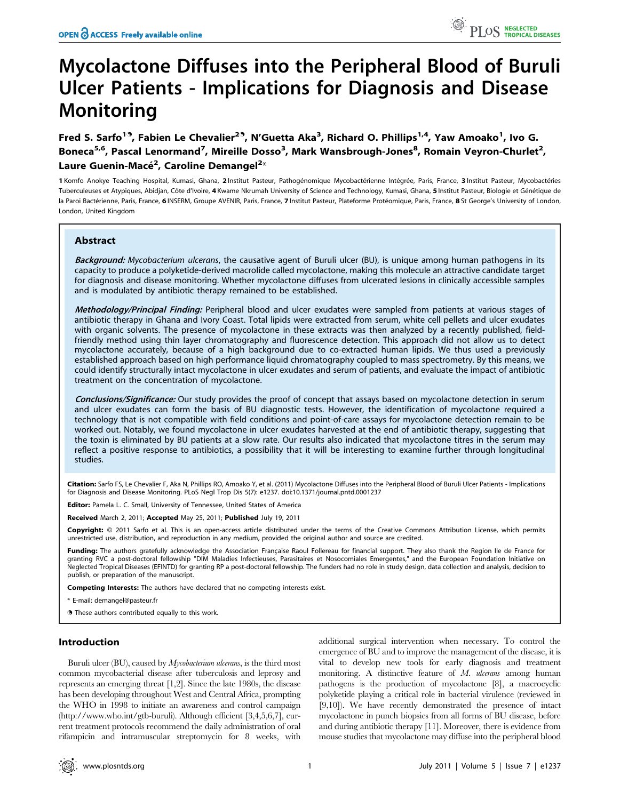# Mycolactone Diffuses into the Peripheral Blood of Buruli Ulcer Patients - Implications for Diagnosis and Disease Monitoring

Fred S. Sarfo<sup>19</sup>, Fabien Le Chevalier<sup>29</sup>, N'Guetta Aka<sup>3</sup>, Richard O. Phillips<sup>1,4</sup>, Yaw Amoako<sup>1</sup>, Ivo G. Boneca<sup>5,6</sup>, Pascal Lenormand<sup>7</sup>, Mireille Dosso<sup>3</sup>, Mark Wansbrough-Jones<sup>8</sup>, Romain Veyron-Churlet<sup>2</sup>, Laure Guenin-Macé $^2$ , Caroline Demangel $^{\mathbf{2}\ast}$ 

1 Komfo Anokye Teaching Hospital, Kumasi, Ghana, 2 Institut Pasteur, Pathogénomique Mycobactérienne Intégrée, Paris, France, 3 Institut Pasteur, Mycobactéries Tuberculeuses et Atypiques, Abidjan, Côte d'Ivoire, 4 Kwame Nkrumah University of Science and Technology, Kumasi, Ghana, 5 Institut Pasteur, Biologie et Génétique de la Paroi Bactérienne, Paris, France, 6 INSERM, Groupe AVENIR, Paris, France, 7 Institut Pasteur, Plateforme Protéomique, Paris, France, 8 St George's University of London, London, United Kingdom

## Abstract

Background: Mycobacterium ulcerans, the causative agent of Buruli ulcer (BU), is unique among human pathogens in its capacity to produce a polyketide-derived macrolide called mycolactone, making this molecule an attractive candidate target for diagnosis and disease monitoring. Whether mycolactone diffuses from ulcerated lesions in clinically accessible samples and is modulated by antibiotic therapy remained to be established.

Methodology/Principal Finding: Peripheral blood and ulcer exudates were sampled from patients at various stages of antibiotic therapy in Ghana and Ivory Coast. Total lipids were extracted from serum, white cell pellets and ulcer exudates with organic solvents. The presence of mycolactone in these extracts was then analyzed by a recently published, fieldfriendly method using thin layer chromatography and fluorescence detection. This approach did not allow us to detect mycolactone accurately, because of a high background due to co-extracted human lipids. We thus used a previously established approach based on high performance liquid chromatography coupled to mass spectrometry. By this means, we could identify structurally intact mycolactone in ulcer exudates and serum of patients, and evaluate the impact of antibiotic treatment on the concentration of mycolactone.

Conclusions/Significance: Our study provides the proof of concept that assays based on mycolactone detection in serum and ulcer exudates can form the basis of BU diagnostic tests. However, the identification of mycolactone required a technology that is not compatible with field conditions and point-of-care assays for mycolactone detection remain to be worked out. Notably, we found mycolactone in ulcer exudates harvested at the end of antibiotic therapy, suggesting that the toxin is eliminated by BU patients at a slow rate. Our results also indicated that mycolactone titres in the serum may reflect a positive response to antibiotics, a possibility that it will be interesting to examine further through longitudinal studies.

Citation: Sarfo FS, Le Chevalier F, Aka N, Phillips RO, Amoako Y, et al. (2011) Mycolactone Diffuses into the Peripheral Blood of Buruli Ulcer Patients - Implications for Diagnosis and Disease Monitoring. PLoS Negl Trop Dis 5(7): e1237. doi:10.1371/journal.pntd.0001237

Editor: Pamela L. C. Small, University of Tennessee, United States of America

Received March 2, 2011; Accepted May 25, 2011; Published July 19, 2011

Copyright: © 2011 Sarfo et al. This is an open-access article distributed under the terms of the Creative Commons Attribution License, which permits unrestricted use, distribution, and reproduction in any medium, provided the original author and source are credited.

Funding: The authors gratefully acknowledge the Association Française Raoul Follereau for financial support. They also thank the Region Ile de France for granting RVC a post-doctoral fellowship "DIM Maladies Infectieuses, Parasitaires et Nosocomiales Emergentes," and the European Foundation Initiative on Neglected Tropical Diseases (EFINTD) for granting RP a post-doctoral fellowship. The funders had no role in study design, data collection and analysis, decision to publish, or preparation of the manuscript.

Competing Interests: The authors have declared that no competing interests exist.

\* E-mail: demangel@pasteur.fr

**.** These authors contributed equally to this work.

## Introduction

Buruli ulcer (BU), caused by *Mycobacterium ulcerans*, is the third most common mycobacterial disease after tuberculosis and leprosy and represents an emerging threat [1,2]. Since the late 1980s, the disease has been developing throughout West and Central Africa, prompting the WHO in 1998 to initiate an awareness and control campaign (http://www.who.int/gtb-buruli). Although efficient [3,4,5,6,7], current treatment protocols recommend the daily administration of oral rifampicin and intramuscular streptomycin for 8 weeks, with

additional surgical intervention when necessary. To control the emergence of BU and to improve the management of the disease, it is vital to develop new tools for early diagnosis and treatment monitoring. A distinctive feature of M. ulcerans among human pathogens is the production of mycolactone [8], a macrocyclic polyketide playing a critical role in bacterial virulence (reviewed in [9,10]). We have recently demonstrated the presence of intact mycolactone in punch biopsies from all forms of BU disease, before and during antibiotic therapy [11]. Moreover, there is evidence from mouse studies that mycolactone may diffuse into the peripheral blood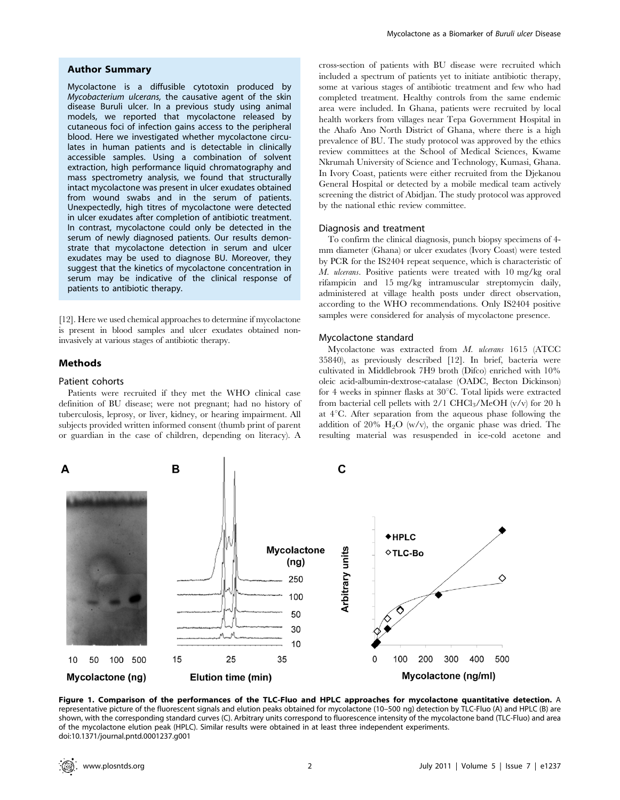#### Author Summary

Mycolactone is a diffusible cytotoxin produced by Mycobacterium ulcerans, the causative agent of the skin disease Buruli ulcer. In a previous study using animal models, we reported that mycolactone released by cutaneous foci of infection gains access to the peripheral blood. Here we investigated whether mycolactone circulates in human patients and is detectable in clinically accessible samples. Using a combination of solvent extraction, high performance liquid chromatography and mass spectrometry analysis, we found that structurally intact mycolactone was present in ulcer exudates obtained from wound swabs and in the serum of patients. Unexpectedly, high titres of mycolactone were detected in ulcer exudates after completion of antibiotic treatment. In contrast, mycolactone could only be detected in the serum of newly diagnosed patients. Our results demonstrate that mycolactone detection in serum and ulcer exudates may be used to diagnose BU. Moreover, they suggest that the kinetics of mycolactone concentration in serum may be indicative of the clinical response of patients to antibiotic therapy.

[12]. Here we used chemical approaches to determine if mycolactone is present in blood samples and ulcer exudates obtained noninvasively at various stages of antibiotic therapy.

## Methods

#### Patient cohorts

Patients were recruited if they met the WHO clinical case definition of BU disease; were not pregnant; had no history of tuberculosis, leprosy, or liver, kidney, or hearing impairment. All subjects provided written informed consent (thumb print of parent or guardian in the case of children, depending on literacy). A cross-section of patients with BU disease were recruited which included a spectrum of patients yet to initiate antibiotic therapy, some at various stages of antibiotic treatment and few who had completed treatment. Healthy controls from the same endemic area were included. In Ghana, patients were recruited by local health workers from villages near Tepa Government Hospital in the Ahafo Ano North District of Ghana, where there is a high prevalence of BU. The study protocol was approved by the ethics review committees at the School of Medical Sciences, Kwame Nkrumah University of Science and Technology, Kumasi, Ghana. In Ivory Coast, patients were either recruited from the Djekanou General Hospital or detected by a mobile medical team actively screening the district of Abidjan. The study protocol was approved by the national ethic review committee.

#### Diagnosis and treatment

To confirm the clinical diagnosis, punch biopsy specimens of 4 mm diameter (Ghana) or ulcer exudates (Ivory Coast) were tested by PCR for the IS2404 repeat sequence, which is characteristic of M. ulcerans. Positive patients were treated with 10 mg/kg oral rifampicin and 15 mg/kg intramuscular streptomycin daily, administered at village health posts under direct observation, according to the WHO recommendations. Only IS2404 positive samples were considered for analysis of mycolactone presence.

#### Mycolactone standard

Mycolactone was extracted from M. ulcerans 1615 (ATCC 35840), as previously described [12]. In brief, bacteria were cultivated in Middlebrook 7H9 broth (Difco) enriched with 10% oleic acid-albumin-dextrose-catalase (OADC, Becton Dickinson) for 4 weeks in spinner flasks at  $30^{\circ}$ C. Total lipids were extracted from bacterial cell pellets with  $2/1$  CHCl<sub>3</sub>/MeOH (v/v) for 20 h at  $4^{\circ}$ C. After separation from the aqueous phase following the addition of 20%  $H_2O$  (w/v), the organic phase was dried. The resulting material was resuspended in ice-cold acetone and



Figure 1. Comparison of the performances of the TLC-Fluo and HPLC approaches for mycolactone quantitative detection. A representative picture of the fluorescent signals and elution peaks obtained for mycolactone (10–500 ng) detection by TLC-Fluo (A) and HPLC (B) are shown, with the corresponding standard curves (C). Arbitrary units correspond to fluorescence intensity of the mycolactone band (TLC-Fluo) and area of the mycolactone elution peak (HPLC). Similar results were obtained in at least three independent experiments. doi:10.1371/journal.pntd.0001237.g001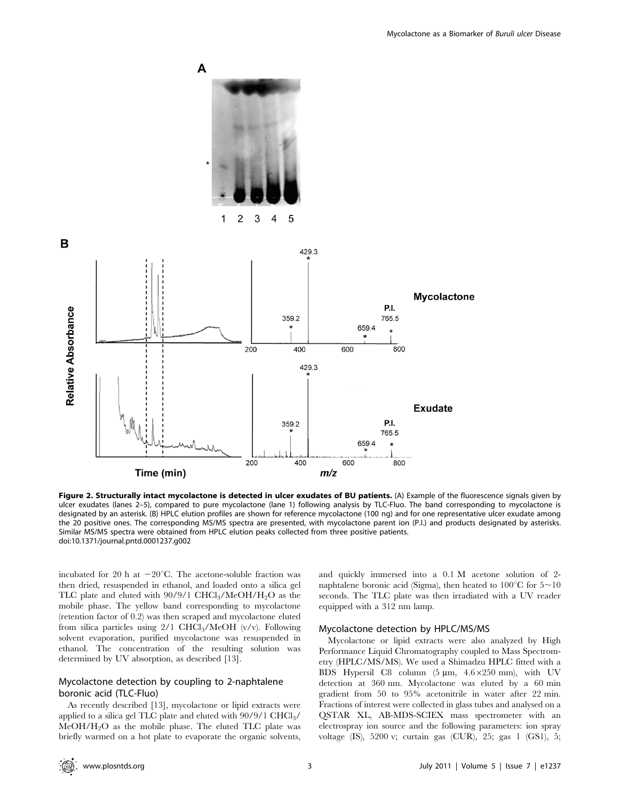

Figure 2. Structurally intact mycolactone is detected in ulcer exudates of BU patients. (A) Example of the fluorescence signals given by ulcer exudates (lanes 2–5), compared to pure mycolactone (lane 1) following analysis by TLC-Fluo. The band corresponding to mycolactone is designated by an asterisk. (B) HPLC elution profiles are shown for reference mycolactone (100 ng) and for one representative ulcer exudate among the 20 positive ones. The corresponding MS/MS spectra are presented, with mycolactone parent ion (P.I.) and products designated by asterisks. Similar MS/MS spectra were obtained from HPLC elution peaks collected from three positive patients. doi:10.1371/journal.pntd.0001237.g002

incubated for 20 h at  $-20^{\circ}$ C. The acetone-soluble fraction was then dried, resuspended in ethanol, and loaded onto a silica gel TLC plate and eluted with  $90/9/1$  CHCl<sub>3</sub>/MeOH/H<sub>2</sub>O as the mobile phase. The yellow band corresponding to mycolactone (retention factor of 0.2) was then scraped and mycolactone eluted from silica particles using  $2/1$  CHCl<sub>3</sub>/MeOH (v/v). Following solvent evaporation, purified mycolactone was resuspended in ethanol. The concentration of the resulting solution was determined by UV absorption, as described [13].

## Mycolactone detection by coupling to 2-naphtalene boronic acid (TLC-Fluo)

As recently described [13], mycolactone or lipid extracts were applied to a silica gel TLC plate and eluted with  $90/9/1$  CHCl<sub>3</sub>/  $MeOH/H<sub>2</sub>O$  as the mobile phase. The eluted TLC plate was briefly warmed on a hot plate to evaporate the organic solvents, and quickly immersed into a 0.1 M acetone solution of 2 naphtalene boronic acid (Sigma), then heated to  $100^{\circ}$ C for  $5\sim10$ seconds. The TLC plate was then irradiated with a UV reader equipped with a 312 nm lamp.

#### Mycolactone detection by HPLC/MS/MS

Mycolactone or lipid extracts were also analyzed by High Performance Liquid Chromatography coupled to Mass Spectrometry (HPLC/MS/MS). We used a Shimadzu HPLC fitted with a BDS Hypersil C8 column  $(5 \text{ µm}, 4.6 \times 250 \text{ mm})$ , with UV detection at 360 nm. Mycolactone was eluted by a 60 min gradient from 50 to 95% acetonitrile in water after 22 min. Fractions of interest were collected in glass tubes and analysed on a QSTAR XL, AB-MDS-SCIEX mass spectrometer with an electrospray ion source and the following parameters: ion spray voltage (IS), 5200 v; curtain gas (CUR), 25; gas 1 (GS1), 5;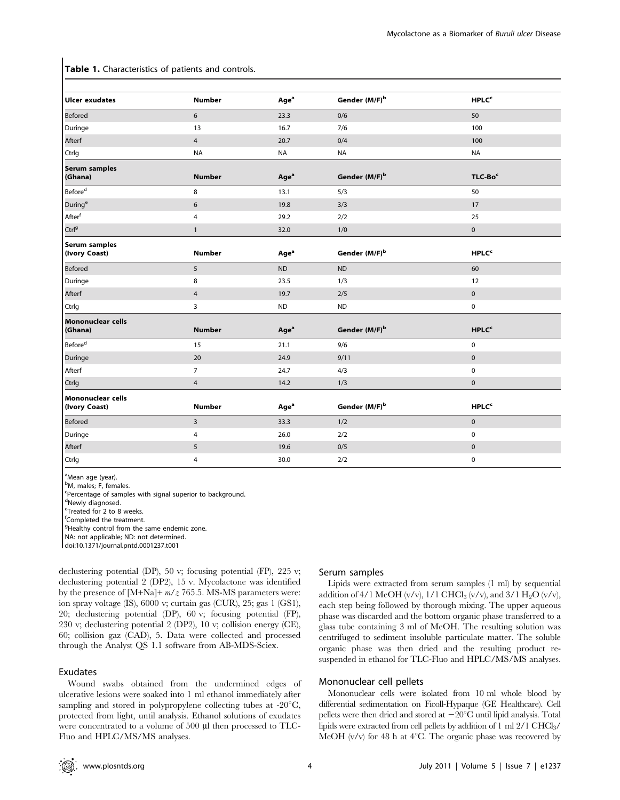Table 1. Characteristics of patients and controls.

| Gender (M/F) <sup>b</sup><br><b>HPLC<sup>c</sup></b><br>Age <sup>a</sup><br><b>Number</b><br>6<br>50<br>23.3<br>0/6<br>13<br>16.7<br>100<br>7/6<br>100<br>$\overline{4}$<br>20.7<br>0/4<br><b>NA</b><br><b>NA</b><br><b>NA</b><br><b>NA</b><br>Gender (M/F) <sup>b</sup><br>TLC-Bo <sup>c</sup><br><b>Number</b><br>Age <sup>a</sup><br>8<br>13.1<br>5/3<br>50<br>6<br>19.8<br>3/3<br>17<br>29.2<br>2/2<br>25<br>4<br>32.0<br>1/0<br>$\pmb{0}$<br>$\mathbf{1}$<br>Gender (M/F) <sup>b</sup><br><b>HPLC<sup>c</sup></b><br><b>Number</b><br>Age <sup>a</sup><br>5<br><b>ND</b><br>60<br><b>ND</b><br>8<br>1/3<br>12<br>23.5<br>$\overline{4}$<br>19.7<br>2/5<br>$\mathbf 0$<br>3<br><b>ND</b><br>$\pmb{0}$<br><b>ND</b><br>Gender (M/F) <sup>b</sup><br><b>HPLC<sup>c</sup></b><br>Age <sup>a</sup><br><b>Number</b><br>15<br>21.1<br>9/6<br>$\pmb{0}$<br>20<br>9/11<br>$\mathbf 0$<br>24.9<br>7<br>24.7<br>4/3<br>$\mathbf 0$<br>14.2<br>1/3<br>$\pmb{0}$<br>$\overline{4}$<br>Gender (M/F) <sup>b</sup><br><b>HPLC<sup>c</sup></b><br><b>Number</b><br>Age <sup>a</sup><br>$\overline{3}$<br>33.3<br>1/2<br>$\mathbf 0$<br>26.0<br>2/2<br>$\mathbf 0$<br>4<br>0/5<br>5<br>19.6<br>$\mathbf 0$<br>2/2<br>$\pmb{0}$<br>30.0<br>4 |                                     |  |  |
|---------------------------------------------------------------------------------------------------------------------------------------------------------------------------------------------------------------------------------------------------------------------------------------------------------------------------------------------------------------------------------------------------------------------------------------------------------------------------------------------------------------------------------------------------------------------------------------------------------------------------------------------------------------------------------------------------------------------------------------------------------------------------------------------------------------------------------------------------------------------------------------------------------------------------------------------------------------------------------------------------------------------------------------------------------------------------------------------------------------------------------------------------------------------------------------------------------------------------------|-------------------------------------|--|--|
|                                                                                                                                                                                                                                                                                                                                                                                                                                                                                                                                                                                                                                                                                                                                                                                                                                                                                                                                                                                                                                                                                                                                                                                                                                 | <b>Ulcer exudates</b>               |  |  |
|                                                                                                                                                                                                                                                                                                                                                                                                                                                                                                                                                                                                                                                                                                                                                                                                                                                                                                                                                                                                                                                                                                                                                                                                                                 | Befored                             |  |  |
|                                                                                                                                                                                                                                                                                                                                                                                                                                                                                                                                                                                                                                                                                                                                                                                                                                                                                                                                                                                                                                                                                                                                                                                                                                 | Duringe                             |  |  |
|                                                                                                                                                                                                                                                                                                                                                                                                                                                                                                                                                                                                                                                                                                                                                                                                                                                                                                                                                                                                                                                                                                                                                                                                                                 | Afterf                              |  |  |
|                                                                                                                                                                                                                                                                                                                                                                                                                                                                                                                                                                                                                                                                                                                                                                                                                                                                                                                                                                                                                                                                                                                                                                                                                                 | Ctrlg                               |  |  |
|                                                                                                                                                                                                                                                                                                                                                                                                                                                                                                                                                                                                                                                                                                                                                                                                                                                                                                                                                                                                                                                                                                                                                                                                                                 | <b>Serum samples</b><br>(Ghana)     |  |  |
|                                                                                                                                                                                                                                                                                                                                                                                                                                                                                                                                                                                                                                                                                                                                                                                                                                                                                                                                                                                                                                                                                                                                                                                                                                 | Before <sup>d</sup>                 |  |  |
|                                                                                                                                                                                                                                                                                                                                                                                                                                                                                                                                                                                                                                                                                                                                                                                                                                                                                                                                                                                                                                                                                                                                                                                                                                 | During <sup>e</sup>                 |  |  |
|                                                                                                                                                                                                                                                                                                                                                                                                                                                                                                                                                                                                                                                                                                                                                                                                                                                                                                                                                                                                                                                                                                                                                                                                                                 | Afterf                              |  |  |
|                                                                                                                                                                                                                                                                                                                                                                                                                                                                                                                                                                                                                                                                                                                                                                                                                                                                                                                                                                                                                                                                                                                                                                                                                                 | Ctrl <sup>g</sup>                   |  |  |
|                                                                                                                                                                                                                                                                                                                                                                                                                                                                                                                                                                                                                                                                                                                                                                                                                                                                                                                                                                                                                                                                                                                                                                                                                                 | Serum samples<br>(Ivory Coast)      |  |  |
|                                                                                                                                                                                                                                                                                                                                                                                                                                                                                                                                                                                                                                                                                                                                                                                                                                                                                                                                                                                                                                                                                                                                                                                                                                 | <b>Befored</b>                      |  |  |
|                                                                                                                                                                                                                                                                                                                                                                                                                                                                                                                                                                                                                                                                                                                                                                                                                                                                                                                                                                                                                                                                                                                                                                                                                                 | Duringe                             |  |  |
|                                                                                                                                                                                                                                                                                                                                                                                                                                                                                                                                                                                                                                                                                                                                                                                                                                                                                                                                                                                                                                                                                                                                                                                                                                 | Afterf                              |  |  |
|                                                                                                                                                                                                                                                                                                                                                                                                                                                                                                                                                                                                                                                                                                                                                                                                                                                                                                                                                                                                                                                                                                                                                                                                                                 | Ctrlg                               |  |  |
|                                                                                                                                                                                                                                                                                                                                                                                                                                                                                                                                                                                                                                                                                                                                                                                                                                                                                                                                                                                                                                                                                                                                                                                                                                 | <b>Mononuclear cells</b><br>(Ghana) |  |  |
|                                                                                                                                                                                                                                                                                                                                                                                                                                                                                                                                                                                                                                                                                                                                                                                                                                                                                                                                                                                                                                                                                                                                                                                                                                 | Before <sup>d</sup>                 |  |  |
|                                                                                                                                                                                                                                                                                                                                                                                                                                                                                                                                                                                                                                                                                                                                                                                                                                                                                                                                                                                                                                                                                                                                                                                                                                 | Duringe                             |  |  |
|                                                                                                                                                                                                                                                                                                                                                                                                                                                                                                                                                                                                                                                                                                                                                                                                                                                                                                                                                                                                                                                                                                                                                                                                                                 | Afterf                              |  |  |
|                                                                                                                                                                                                                                                                                                                                                                                                                                                                                                                                                                                                                                                                                                                                                                                                                                                                                                                                                                                                                                                                                                                                                                                                                                 | Ctrlg                               |  |  |
|                                                                                                                                                                                                                                                                                                                                                                                                                                                                                                                                                                                                                                                                                                                                                                                                                                                                                                                                                                                                                                                                                                                                                                                                                                 | Mononuclear cells<br>(Ivory Coast)  |  |  |
|                                                                                                                                                                                                                                                                                                                                                                                                                                                                                                                                                                                                                                                                                                                                                                                                                                                                                                                                                                                                                                                                                                                                                                                                                                 | Befored                             |  |  |
|                                                                                                                                                                                                                                                                                                                                                                                                                                                                                                                                                                                                                                                                                                                                                                                                                                                                                                                                                                                                                                                                                                                                                                                                                                 | Duringe                             |  |  |
|                                                                                                                                                                                                                                                                                                                                                                                                                                                                                                                                                                                                                                                                                                                                                                                                                                                                                                                                                                                                                                                                                                                                                                                                                                 | Afterf                              |  |  |
|                                                                                                                                                                                                                                                                                                                                                                                                                                                                                                                                                                                                                                                                                                                                                                                                                                                                                                                                                                                                                                                                                                                                                                                                                                 | Ctrlg                               |  |  |

<sup>a</sup>Mean age (year).

<sup>b</sup>M, males; F, females.

<sup>c</sup>Percentage of samples with signal superior to background.

<sup>d</sup>Newly diagnosed.

eTreated for 2 to 8 weeks.

f Completed the treatment.

<sup>9</sup>Healthy control from the same endemic zone.

NA: not applicable; ND: not determined.

doi:10.1371/journal.pntd.0001237.t001

declustering potential (DP), 50 v; focusing potential (FP), 225 v; declustering potential 2 (DP2), 15 v. Mycolactone was identified by the presence of  $[M+Na]+ m/z$  765.5. MS-MS parameters were: ion spray voltage (IS), 6000 v; curtain gas (CUR), 25; gas 1 (GS1), 20; declustering potential (DP), 60 v; focusing potential (FP), 230 v; declustering potential 2 (DP2), 10 v; collision energy (CE), 60; collision gaz (CAD), 5. Data were collected and processed through the Analyst QS 1.1 software from AB-MDS-Sciex.

## Exudates

Wound swabs obtained from the undermined edges of ulcerative lesions were soaked into 1 ml ethanol immediately after sampling and stored in polypropylene collecting tubes at -20 $^{\circ}$ C, protected from light, until analysis. Ethanol solutions of exudates were concentrated to a volume of 500 µl then processed to TLC-Fluo and HPLC/MS/MS analyses.

#### Serum samples

Lipids were extracted from serum samples (1 ml) by sequential addition of  $4/1$  MeOH (v/v),  $1/1$  CHCl<sub>3</sub> (v/v), and  $3/1$  H<sub>2</sub>O (v/v), each step being followed by thorough mixing. The upper aqueous phase was discarded and the bottom organic phase transferred to a glass tube containing 3 ml of MeOH. The resulting solution was centrifuged to sediment insoluble particulate matter. The soluble organic phase was then dried and the resulting product resuspended in ethanol for TLC-Fluo and HPLC/MS/MS analyses.

## Mononuclear cell pellets

Mononuclear cells were isolated from 10 ml whole blood by differential sedimentation on Ficoll-Hypaque (GE Healthcare). Cell pellets were then dried and stored at  $-20^{\circ}$ C until lipid analysis. Total lipids were extracted from cell pellets by addition of 1 ml  $2/1$  CHCl<sub>3</sub>/ MeOH ( $v/v$ ) for 48 h at 4°C. The organic phase was recovered by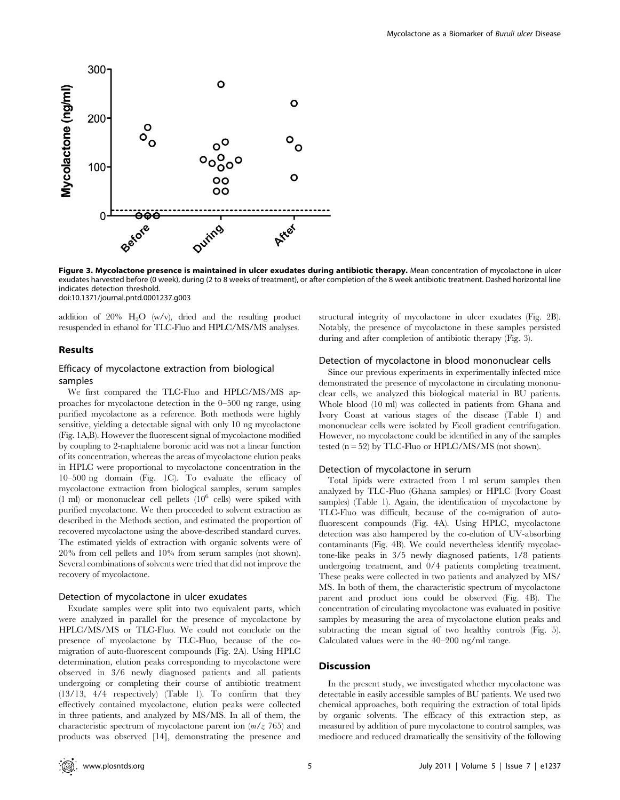

Figure 3. Mycolactone presence is maintained in ulcer exudates during antibiotic therapy. Mean concentration of mycolactone in ulcer exudates harvested before (0 week), during (2 to 8 weeks of treatment), or after completion of the 8 week antibiotic treatment. Dashed horizontal line indicates detection threshold. doi:10.1371/journal.pntd.0001237.g003

addition of  $20\%$  H<sub>2</sub>O (w/v), dried and the resulting product resuspended in ethanol for TLC-Fluo and HPLC/MS/MS analyses.

### Results

## Efficacy of mycolactone extraction from biological samples

We first compared the TLC-Fluo and HPLC/MS/MS approaches for mycolactone detection in the 0–500 ng range, using purified mycolactone as a reference. Both methods were highly sensitive, yielding a detectable signal with only 10 ng mycolactone (Fig. 1A,B). However the fluorescent signal of mycolactone modified by coupling to 2-naphtalene boronic acid was not a linear function of its concentration, whereas the areas of mycolactone elution peaks in HPLC were proportional to mycolactone concentration in the 10–500 ng domain (Fig. 1C). To evaluate the efficacy of mycolactone extraction from biological samples, serum samples  $(1 \text{ ml})$  or mononuclear cell pellets  $(10^6 \text{ cells})$  were spiked with purified mycolactone. We then proceeded to solvent extraction as described in the Methods section, and estimated the proportion of recovered mycolactone using the above-described standard curves. The estimated yields of extraction with organic solvents were of 20% from cell pellets and 10% from serum samples (not shown). Several combinations of solvents were tried that did not improve the recovery of mycolactone.

## Detection of mycolactone in ulcer exudates

Exudate samples were split into two equivalent parts, which were analyzed in parallel for the presence of mycolactone by HPLC/MS/MS or TLC-Fluo. We could not conclude on the presence of mycolactone by TLC-Fluo, because of the comigration of auto-fluorescent compounds (Fig. 2A). Using HPLC determination, elution peaks corresponding to mycolactone were observed in 3/6 newly diagnosed patients and all patients undergoing or completing their course of antibiotic treatment (13/13, 4/4 respectively) (Table 1). To confirm that they effectively contained mycolactone, elution peaks were collected in three patients, and analyzed by MS/MS. In all of them, the characteristic spectrum of mycolactone parent ion  $(m/z 765)$  and products was observed [14], demonstrating the presence and structural integrity of mycolactone in ulcer exudates (Fig. 2B). Notably, the presence of mycolactone in these samples persisted during and after completion of antibiotic therapy (Fig. 3).

#### Detection of mycolactone in blood mononuclear cells

Since our previous experiments in experimentally infected mice demonstrated the presence of mycolactone in circulating mononuclear cells, we analyzed this biological material in BU patients. Whole blood (10 ml) was collected in patients from Ghana and Ivory Coast at various stages of the disease (Table 1) and mononuclear cells were isolated by Ficoll gradient centrifugation. However, no mycolactone could be identified in any of the samples tested (n = 52) by TLC-Fluo or HPLC/MS/MS (not shown).

### Detection of mycolactone in serum

Total lipids were extracted from 1 ml serum samples then analyzed by TLC-Fluo (Ghana samples) or HPLC (Ivory Coast samples) (Table 1). Again, the identification of mycolactone by TLC-Fluo was difficult, because of the co-migration of autofluorescent compounds (Fig. 4A). Using HPLC, mycolactone detection was also hampered by the co-elution of UV-absorbing contaminants (Fig. 4B). We could nevertheless identify mycolactone-like peaks in 3/5 newly diagnosed patients, 1/8 patients undergoing treatment, and 0/4 patients completing treatment. These peaks were collected in two patients and analyzed by MS/ MS. In both of them, the characteristic spectrum of mycolactone parent and product ions could be observed (Fig. 4B). The concentration of circulating mycolactone was evaluated in positive samples by measuring the area of mycolactone elution peaks and subtracting the mean signal of two healthy controls (Fig. 5). Calculated values were in the 40–200 ng/ml range.

## Discussion

In the present study, we investigated whether mycolactone was detectable in easily accessible samples of BU patients. We used two chemical approaches, both requiring the extraction of total lipids by organic solvents. The efficacy of this extraction step, as measured by addition of pure mycolactone to control samples, was mediocre and reduced dramatically the sensitivity of the following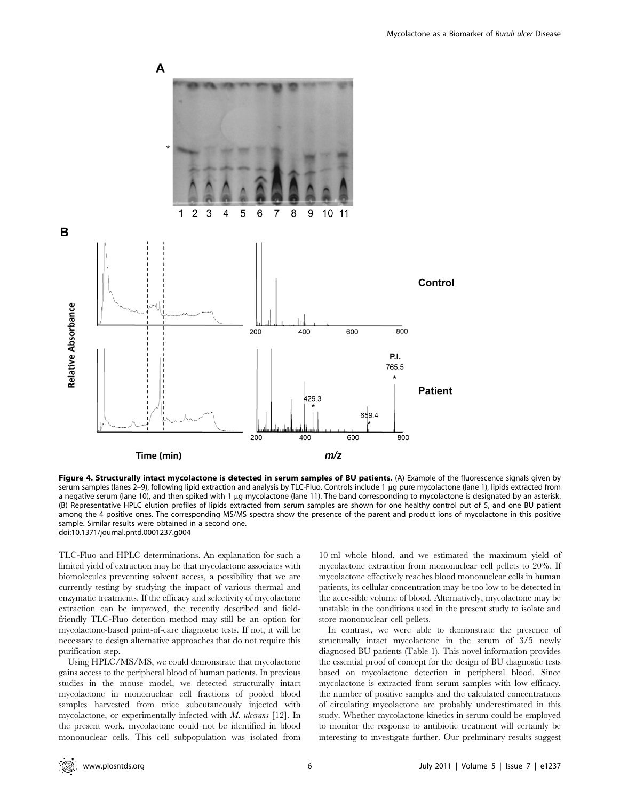

Figure 4. Structurally intact mycolactone is detected in serum samples of BU patients. (A) Example of the fluorescence signals given by serum samples (lanes 2-9), following lipid extraction and analysis by TLC-Fluo. Controls include 1 µg pure mycolactone (lane 1), lipids extracted from a negative serum (lane 10), and then spiked with 1 µg mycolactone (lane 11). The band corresponding to mycolactone is designated by an asterisk. (B) Representative HPLC elution profiles of lipids extracted from serum samples are shown for one healthy control out of 5, and one BU patient among the 4 positive ones. The corresponding MS/MS spectra show the presence of the parent and product ions of mycolactone in this positive sample. Similar results were obtained in a second one. doi:10.1371/journal.pntd.0001237.g004

TLC-Fluo and HPLC determinations. An explanation for such a limited yield of extraction may be that mycolactone associates with biomolecules preventing solvent access, a possibility that we are currently testing by studying the impact of various thermal and enzymatic treatments. If the efficacy and selectivity of mycolactone extraction can be improved, the recently described and fieldfriendly TLC-Fluo detection method may still be an option for mycolactone-based point-of-care diagnostic tests. If not, it will be necessary to design alternative approaches that do not require this purification step.

Using HPLC/MS/MS, we could demonstrate that mycolactone gains access to the peripheral blood of human patients. In previous studies in the mouse model, we detected structurally intact mycolactone in mononuclear cell fractions of pooled blood samples harvested from mice subcutaneously injected with mycolactone, or experimentally infected with M. ulcerans [12]. In the present work, mycolactone could not be identified in blood mononuclear cells. This cell subpopulation was isolated from

10 ml whole blood, and we estimated the maximum yield of mycolactone extraction from mononuclear cell pellets to 20%. If mycolactone effectively reaches blood mononuclear cells in human patients, its cellular concentration may be too low to be detected in the accessible volume of blood. Alternatively, mycolactone may be unstable in the conditions used in the present study to isolate and store mononuclear cell pellets.

In contrast, we were able to demonstrate the presence of structurally intact mycolactone in the serum of 3/5 newly diagnosed BU patients (Table 1). This novel information provides the essential proof of concept for the design of BU diagnostic tests based on mycolactone detection in peripheral blood. Since mycolactone is extracted from serum samples with low efficacy, the number of positive samples and the calculated concentrations of circulating mycolactone are probably underestimated in this study. Whether mycolactone kinetics in serum could be employed to monitor the response to antibiotic treatment will certainly be interesting to investigate further. Our preliminary results suggest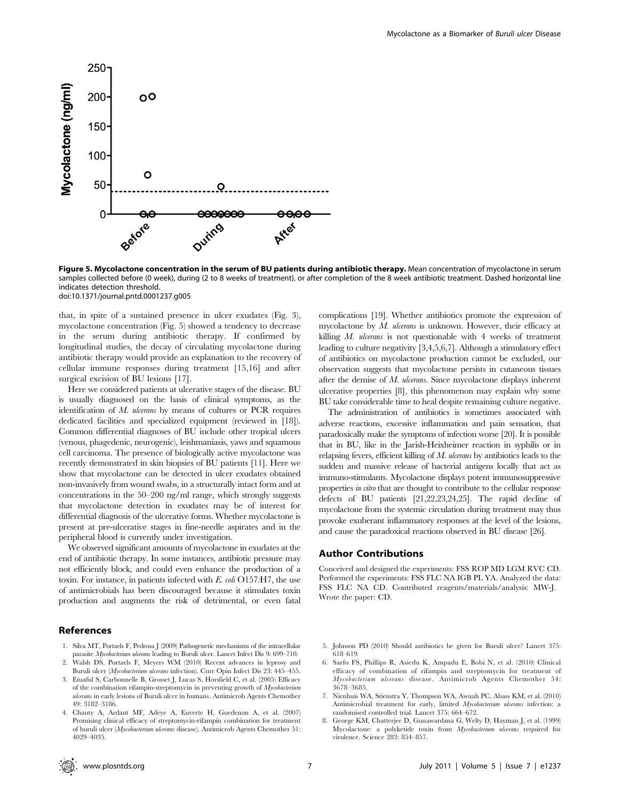

Figure 5. Mycolactone concentration in the serum of BU patients during antibiotic therapy. Mean concentration of mycolactone in serum samples collected before (0 week), during (2 to 8 weeks of treatment), or after completion of the 8 week antibiotic treatment. Dashed horizontal line indicates detection threshold. doi:10.1371/journal.pntd.0001237.g005

that, in spite of a sustained presence in ulcer exudates (Fig. 3), mycolactone concentration (Fig. 5) showed a tendency to decrease in the serum during antibiotic therapy. If confirmed by longitudinal studies, the decay of circulating mycolactone during antibiotic therapy would provide an explanation to the recovery of cellular immune responses during treatment [15,16] and after surgical excision of BU lesions [17].

Here we considered patients at ulcerative stages of the disease. BU is usually diagnosed on the basis of clinical symptoms, as the identification of  $M$ . *ulcerans* by means of cultures or PCR requires dedicated facilities and specialized equipment (reviewed in [18]). Common differential diagnoses of BU include other tropical ulcers (venous, phagedenic, neurogenic), leishmaniasis, yaws and squamous cell carcinoma. The presence of biologically active mycolactone was recently demonstrated in skin biopsies of BU patients [11]. Here we show that mycolactone can be detected in ulcer exudates obtained non-invasively from wound swabs, in a structurally intact form and at concentrations in the 50–200 ng/ml range, which strongly suggests that mycolactone detection in exudates may be of interest for differential diagnosis of the ulcerative forms. Whether mycolactone is present at pre-ulcerative stages in fine-needle aspirates and in the peripheral blood is currently under investigation.

We observed significant amounts of mycolactone in exudates at the end of antibiotic therapy. In some instances, antibiotic pressure may not efficiently block, and could even enhance the production of a toxin. For instance, in patients infected with E. coli O157:H7, the use of antimicrobials has been discouraged because it stimulates toxin production and augments the risk of detrimental, or even fatal

#### References

- 1. Silva MT, Portaels F, Pedrosa J (2009) Pathogenetic mechanisms of the intracellular parasite Mycobacterium ulcerans leading to Buruli ulcer. Lancet Infect Dis 9: 699-710. 2. Walsh DS, Portaels F, Meyers WM (2010) Recent advances in leprosy and
- Buruli ulcer (Mycobacterium ulcerans infection). Curr Opin Infect Dis 23: 445–455. 3. Etuaful S, Carbonnelle B, Grosset J, Lucas S, Horsfield C, et al. (2005) Efficacy
- of the combination rifampin-streptomycin in preventing growth of Mycobacterium ulcerans in early lesions of Buruli ulcer in humans. Antimicrob Agents Chemother 49: 3182–3186.
- 4. Chauty A, Ardant MF, Adeye A, Euverte H, Guedenon A, et al. (2007) Promising clinical efficacy of streptomycin-rifampin combination for treatment of buruli ulcer (Mycobacterium ulcerans disease). Antimicrob Agents Chemother 51: 4029–4035.

complications [19]. Whether antibiotics promote the expression of mycolactone by  $M$ . ulcerans is unknown. However, their efficacy at killing M. ulcerans is not questionable with 4 weeks of treatment leading to culture negativity [3,4,5,6,7]. Although a stimulatory effect of antibiotics on mycolactone production cannot be excluded, our observation suggests that mycolactone persists in cutaneous tissues after the demise of M. ulcerans. Since mycolactone displays inherent ulcerative properties [8], this phenomenon may explain why some BU take considerable time to heal despite remaining culture negative.

The administration of antibiotics is sometimes associated with adverse reactions, excessive inflammation and pain sensation, that paradoxically make the symptoms of infection worse [20]. It is possible that in BU, like in the Jarish-Heixheimer reaction in syphilis or in relapsing fevers, efficient killing of  $M$ . ulcerans by antibiotics leads to the sudden and massive release of bacterial antigens locally that act as immuno-stimulants. Mycolactone displays potent immunosuppressive properties in vitro that are thought to contribute to the cellular response defects of BU patients [21,22,23,24,25]. The rapid decline of mycolactone from the systemic circulation during treatment may thus provoke exuberant inflammatory responses at the level of the lesions, and cause the paradoxical reactions observed in BU disease [26].

#### Author Contributions

Conceived and designed the experiments: FSS ROP MD LGM RVC CD. Performed the experiments: FSS FLC NA IGB PL YA. Analyzed the data: FSS FLC NA CD. Contributed reagents/materials/analysis: MW-J. Wrote the paper: CD.

- 5. Johnson PD (2010) Should antibiotics be given for Buruli ulcer? Lancet 375: 618–619.
- 6. Sarfo FS, Phillips R, Asiedu K, Ampadu E, Bobi N, et al. (2010) Clinical efficacy of combination of rifampin and streptomycin for treatment of Mycobacterium ulcerans disease. Antimicrob Agents Chemother 54: 3678–3685.
- 7. Nienhuis WA, Stienstra Y, Thompson WA, Awuah PC, Abass KM, et al. (2010) Antimicrobial treatment for early, limited Mycobacterium ulcerans infection: a randomised controlled trial. Lancet 375: 664–672.
- 8. George KM, Chatterjee D, Gunawardana G, Welty D, Hayman J, et al. (1999) Mycolactone: a polyketide toxin from Mycobacterium ulcerans required for virulence. Science 283: 854–857.